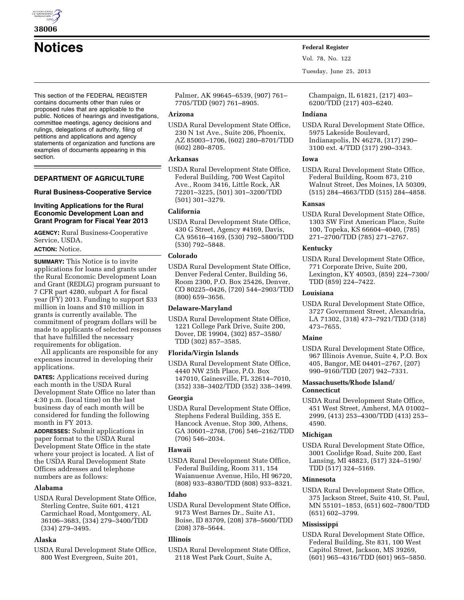

This section of the FEDERAL REGISTER contains documents other than rules or proposed rules that are applicable to the public. Notices of hearings and investigations, committee meetings, agency decisions and rulings, delegations of authority, filing of petitions and applications and agency statements of organization and functions are examples of documents appearing in this section.

# **DEPARTMENT OF AGRICULTURE**

## **Rural Business-Cooperative Service**

#### **Inviting Applications for the Rural Economic Development Loan and Grant Program for Fiscal Year 2013**

**AGENCY:** Rural Business-Cooperative Service, USDA. **ACTION:** Notice.

**SUMMARY:** This Notice is to invite applications for loans and grants under the Rural Economic Development Loan and Grant (REDLG) program pursuant to 7 CFR part 4280, subpart A for fiscal year (FY) 2013. Funding to support \$33 million in loans and \$10 million in grants is currently available. The commitment of program dollars will be made to applicants of selected responses that have fulfilled the necessary requirements for obligation.

All applicants are responsible for any expenses incurred in developing their applications.

**DATES:** Applications received during each month in the USDA Rural Development State Office no later than 4:30 p.m. (local time) on the last business day of each month will be considered for funding the following month in FY 2013.

**ADDRESSES:** Submit applications in paper format to the USDA Rural Development State Office in the state where your project is located. A list of the USDA Rural Development State Offices addresses and telephone numbers are as follows:

# **Alabama**

USDA Rural Development State Office, Sterling Centre, Suite 601, 4121 Carmichael Road, Montgomery, AL 36106–3683, (334) 279–3400/TDD (334) 279–3495.

## **Alaska**

USDA Rural Development State Office, 800 West Evergreen, Suite 201,

Palmer, AK 99645–6539, (907) 761– 7705/TDD (907) 761–8905.

## **Arizona**

USDA Rural Development State Office, 230 N 1st Ave., Suite 206, Phoenix, AZ 85003–1706, (602) 280–8701/TDD (602) 280–8705.

## **Arkansas**

USDA Rural Development State Office, Federal Building, 700 West Capitol Ave., Room 3416, Little Rock, AR 72201–3225, (501) 301–3200/TDD (501) 301–3279.

# **California**

USDA Rural Development State Office, 430 G Street, Agency #4169, Davis, CA 95616–4169, (530) 792–5800/TDD (530) 792–5848.

## **Colorado**

USDA Rural Development State Office, Denver Federal Center, Building 56, Room 2300, P.O. Box 25426, Denver, CO 80225–0426, (720) 544–2903/TDD (800) 659–3656.

## **Delaware-Maryland**

USDA Rural Development State Office, 1221 College Park Drive, Suite 200, Dover, DE 19904, (302) 857–3580/ TDD (302) 857–3585.

## **Florida/Virgin Islands**

USDA Rural Development State Office, 4440 NW 25th Place, P.O. Box 147010, Gainesville, FL 32614–7010, (352) 338–3402/TDD (352) 338–3499.

## **Georgia**

USDA Rural Development State Office, Stephens Federal Building, 355 E. Hancock Avenue, Stop 300, Athens, GA 30601–2768, (706) 546–2162/TDD (706) 546–2034.

# **Hawaii**

USDA Rural Development State Office, Federal Building, Room 311, 154 Waianuenue Avenue, Hilo, HI 96720, (808) 933–8380/TDD (808) 933–8321.

## **Idaho**

USDA Rural Development State Office, 9173 West Barnes Dr., Suite A1, Boise, ID 83709, (208) 378–5600/TDD (208) 378–5644.

## **Illinois**

USDA Rural Development State Office, 2118 West Park Court, Suite A,

**Notices Federal Register**

Vol. 78, No. 122

Tuesday, June 25, 2013

Champaign, IL 61821, (217) 403– 6200/TDD (217) 403–6240.

# **Indiana**

USDA Rural Development State Office, 5975 Lakeside Boulevard, Indianapolis, IN 46278, (317) 290– 3100 ext. 4/TDD (317) 290–3343.

# **Iowa**

USDA Rural Development State Office, Federal Building, Room 873, 210 Walnut Street, Des Moines, IA 50309, (515) 284–4663/TDD (515) 284–4858.

# **Kansas**

USDA Rural Development State Office, 1303 SW First American Place, Suite 100, Topeka, KS 66604–4040, (785) 271–2700/TDD (785) 271–2767.

# **Kentucky**

USDA Rural Development State Office, 771 Corporate Drive, Suite 200, Lexington, KY 40503, (859) 224–7300/ TDD (859) 224–7422.

# **Louisiana**

USDA Rural Development State Office, 3727 Government Street, Alexandria, LA 71302, (318) 473–7921/TDD (318) 473–7655.

# **Maine**

USDA Rural Development State Office, 967 Illinois Avenue, Suite 4, P.O. Box 405, Bangor, ME 04401–2767, (207) 990–9160/TDD (207) 942–7331.

# **Massachusetts/Rhode Island/ Connecticut**

USDA Rural Development State Office, 451 West Street, Amherst, MA 01002– 2999, (413) 253–4300/TDD (413) 253– 4590.

# **Michigan**

USDA Rural Development State Office, 3001 Coolidge Road, Suite 200, East Lansing, MI 48823, (517) 324–5190/ TDD (517) 324–5169.

# **Minnesota**

USDA Rural Development State Office, 375 Jackson Street, Suite 410, St. Paul, MN 55101–1853, (651) 602–7800/TDD (651) 602–3799.

# **Mississippi**

USDA Rural Development State Office, Federal Building, Ste 831, 100 West Capitol Street, Jackson, MS 39269, (601) 965–4316/TDD (601) 965–5850.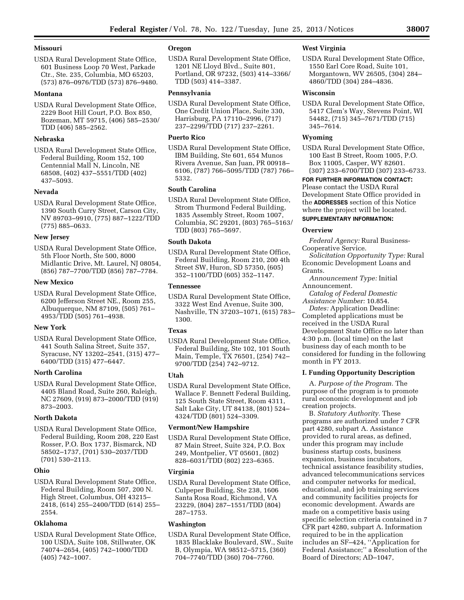# **Missouri**

USDA Rural Development State Office, 601 Business Loop 70 West, Parkade Ctr., Ste. 235, Columbia, MO 65203, (573) 876–0976/TDD (573) 876–9480.

## **Montana**

USDA Rural Development State Office, 2229 Boot Hill Court, P.O. Box 850, Bozeman, MT 59715, (406) 585–2530/ TDD (406) 585–2562.

#### **Nebraska**

USDA Rural Development State Office, Federal Building, Room 152, 100 Centennial Mall N, Lincoln, NE 68508, (402) 437–5551/TDD (402) 437–5093.

#### **Nevada**

USDA Rural Development State Office, 1390 South Curry Street, Carson City, NV 89703–9910, (775) 887–1222/TDD (775) 885–0633.

#### **New Jersey**

USDA Rural Development State Office, 5th Floor North, Ste 500, 8000 Midlantic Drive, Mt. Laurel, NJ 08054, (856) 787–7700/TDD (856) 787–7784.

#### **New Mexico**

USDA Rural Development State Office, 6200 Jefferson Street NE., Room 255, Albuquerque, NM 87109, (505) 761– 4953/TDD (505) 761–4938.

## **New York**

USDA Rural Development State Office, 441 South Salina Street, Suite 357, Syracuse, NY 13202–2541, (315) 477– 6400/TDD (315) 477–6447.

## **North Carolina**

USDA Rural Development State Office, 4405 Bland Road, Suite 260, Raleigh, NC 27609, (919) 873–2000/TDD (919) 873–2003.

#### **North Dakota**

USDA Rural Development State Office, Federal Building, Room 208, 220 East Rosser, P.O. Box 1737, Bismarck, ND 58502–1737, (701) 530–2037/TDD (701) 530–2113.

## **Ohio**

USDA Rural Development State Office, Federal Building, Room 507, 200 N. High Street, Columbus, OH 43215– 2418, (614) 255–2400/TDD (614) 255– 2554.

## **Oklahoma**

USDA Rural Development State Office, 100 USDA, Suite 108, Stillwater, OK 74074–2654, (405) 742–1000/TDD (405) 742–1007.

# **Oregon**

USDA Rural Development State Office, 1201 NE Lloyd Blvd., Suite 801, Portland, OR 97232, (503) 414–3366/ TDD (503) 414–3387.

#### **Pennsylvania**

USDA Rural Development State Office, One Credit Union Place, Suite 330, Harrisburg, PA 17110–2996, (717) 237–2299/TDD (717) 237–2261.

# **Puerto Rico**

USDA Rural Development State Office, IBM Building, Ste 601, 654 Munos Rivera Avenue, San Juan, PR 00918– 6106, (787) 766–5095/TDD (787) 766– 5332.

#### **South Carolina**

USDA Rural Development State Office, Strom Thurmond Federal Building, 1835 Assembly Street, Room 1007, Columbia, SC 29201, (803) 765–5163/ TDD (803) 765–5697.

#### **South Dakota**

USDA Rural Development State Office, Federal Building, Room 210, 200 4th Street SW, Huron, SD 57350, (605) 352–1100/TDD (605) 352–1147.

#### **Tennessee**

USDA Rural Development State Office, 3322 West End Avenue, Suite 300, Nashville, TN 37203–1071, (615) 783– 1300.

## **Texas**

USDA Rural Development State Office, Federal Building, Ste 102, 101 South Main, Temple, TX 76501, (254) 742– 9700/TDD (254) 742–9712.

# **Utah**

USDA Rural Development State Office, Wallace F. Bennett Federal Building, 125 South State Street, Room 4311, Salt Lake City, UT 84138, (801) 524– 4324/TDD (801) 524–3309.

#### **Vermont/New Hampshire**

USDA Rural Development State Office, 87 Main Street, Suite 324, P.O. Box 249, Montpelier, VT 05601, (802) 828–6031/TDD (802) 223–6365.

## **Virginia**

USDA Rural Development State Office, Culpeper Building, Ste 238, 1606 Santa Rosa Road, Richmond, VA 23229, (804) 287–1551/TDD (804) 287–1753.

## **Washington**

USDA Rural Development State Office, 1835 Blacklake Boulevard, SW., Suite B, Olympia, WA 98512–5715, (360) 704–7740/TDD (360) 704–7760.

## **West Virginia**

USDA Rural Development State Office, 1550 Earl Core Road, Suite 101, Morgantown, WV 26505, (304) 284– 4860/TDD (304) 284–4836.

#### **Wisconsin**

USDA Rural Development State Office, 5417 Clem's Way, Stevens Point, WI 54482, (715) 345–7671/TDD (715) 345–7614.

# **Wyoming**

USDA Rural Development State Office, 100 East B Street, Room 1005, P.O. Box 11005, Casper, WY 82601. (307) 233–6700/TDD (307) 233–6733.

**FOR FURTHER INFORMATION CONTACT:**  Please contact the USDA Rural Development State Office provided in the **ADDRESSES** section of this Notice where the project will be located.

# **SUPPLEMENTARY INFORMATION:**

# **Overview**

*Federal Agency:* Rural Business-Cooperative Service.

*Solicitation Opportunity Type:* Rural Economic Development Loans and Grants.

*Announcement Type:* Initial Announcement.

*Catalog of Federal Domestic Assistance Number:* 10.854.

*Dates:* Application Deadline: Completed applications must be received in the USDA Rural Development State Office no later than 4:30 p.m. (local time) on the last business day of each month to be considered for funding in the following month in FY 2013.

#### **I. Funding Opportunity Description**

A. *Purpose of the Program.* The purpose of the program is to promote rural economic development and job creation projects.

B. *Statutory Authority.* These programs are authorized under 7 CFR part 4280, subpart A. Assistance provided to rural areas, as defined, under this program may include business startup costs, business expansion, business incubators, technical assistance feasibility studies, advanced telecommunications services and computer networks for medical, educational, and job training services and community facilities projects for economic development. Awards are made on a competitive basis using specific selection criteria contained in 7 CFR part 4280, subpart A. Information required to be in the application includes an SF–424, ''Application for Federal Assistance;'' a Resolution of the Board of Directors; AD–1047,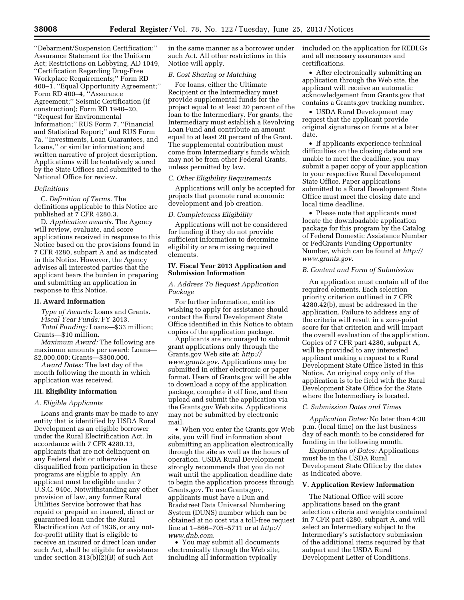''Debarment/Suspension Certification;'' Assurance Statement for the Uniform Act; Restrictions on Lobbying, AD 1049, ''Certification Regarding Drug-Free Workplace Requirements;'' Form RD 400–1, ''Equal Opportunity Agreement;'' Form RD 400–4, ''Assurance Agreement;'' Seismic Certification (if construction); Form RD 1940–20, ''Request for Environmental Information;'' RUS Form 7, ''Financial and Statistical Report;'' and RUS Form 7a, ''Investments, Loan Guarantees, and Loans,'' or similar information; and written narrative of project description. Applications will be tentatively scored by the State Offices and submitted to the National Office for review.

#### *Definitions*

C. *Definition of Terms.* The definitions applicable to this Notice are published at 7 CFR 4280.3.

D. *Application awards.* The Agency will review, evaluate, and score applications received in response to this Notice based on the provisions found in 7 CFR 4280, subpart A and as indicated in this Notice. However, the Agency advises all interested parties that the applicant bears the burden in preparing and submitting an application in response to this Notice.

#### **II. Award Information**

*Type of Awards:* Loans and Grants. *Fiscal Year Funds:* FY 2013.

*Total Funding:* Loans—\$33 million; Grants—\$10 million.

*Maximum Award:* The following are maximum amounts per award: Loans— \$2,000,000; Grants—\$300,000.

*Award Dates:* The last day of the month following the month in which application was received.

#### **III. Eligibility Information**

#### *A. Eligible Applicants*

Loans and grants may be made to any entity that is identified by USDA Rural Development as an eligible borrower under the Rural Electrification Act. In accordance with 7 CFR 4280.13, applicants that are not delinquent on any Federal debt or otherwise disqualified from participation in these programs are eligible to apply. An applicant must be eligible under 7 U.S.C. 940c. Notwithstanding any other provision of law, any former Rural Utilities Service borrower that has repaid or prepaid an insured, direct or guaranteed loan under the Rural Electrification Act of 1936, or any notfor-profit utility that is eligible to receive an insured or direct loan under such Act, shall be eligible for assistance under section 313(b)(2)(B) of such Act

in the same manner as a borrower under such Act. All other restrictions in this Notice will apply.

## *B. Cost Sharing or Matching*

For loans, either the Ultimate Recipient or the Intermediary must provide supplemental funds for the project equal to at least 20 percent of the loan to the Intermediary. For grants, the Intermediary must establish a Revolving Loan Fund and contribute an amount equal to at least 20 percent of the Grant. The supplemental contribution must come from Intermediary's funds which may not be from other Federal Grants, unless permitted by law.

#### *C. Other Eligibility Requirements*

Applications will only be accepted for projects that promote rural economic development and job creation.

#### *D. Completeness Eligibility*

Applications will not be considered for funding if they do not provide sufficient information to determine eligibility or are missing required elements.

# **IV. Fiscal Year 2013 Application and Submission Information**

#### *A. Address To Request Application Package*

For further information, entities wishing to apply for assistance should contact the Rural Development State Office identified in this Notice to obtain copies of the application package.

Applicants are encouraged to submit grant applications only through the Grants.gov Web site at: *[http://](http://www.grants.gov) [www.grants.gov](http://www.grants.gov)*. Applications may be submitted in either electronic or paper format. Users of Grants.gov will be able to download a copy of the application package, complete it off line, and then upload and submit the application via the Grants.gov Web site. Applications may not be submitted by electronic mail.

• When you enter the Grants.gov Web site, you will find information about submitting an application electronically through the site as well as the hours of operation. USDA Rural Development strongly recommends that you do not wait until the application deadline date to begin the application process through Grants.gov. To use Grants.gov, applicants must have a Dun and Bradstreet Data Universal Numbering System (DUNS) number which can be obtained at no cost via a toll-free request line at 1–866–705–5711 or at *[http://](http://www.dnb.com) [www.dnb.com](http://www.dnb.com)*.

• You may submit all documents electronically through the Web site, including all information typically

included on the application for REDLGs and all necessary assurances and certifications.

• After electronically submitting an application through the Web site, the applicant will receive an automatic acknowledgement from Grants.gov that contains a Grants.gov tracking number.

• USDA Rural Development may request that the applicant provide original signatures on forms at a later date.

• If applicants experience technical difficulties on the closing date and are unable to meet the deadline, you may submit a paper copy of your application to your respective Rural Development State Office. Paper applications submitted to a Rural Development State Office must meet the closing date and local time deadline.

• Please note that applicants must locate the downloadable application package for this program by the Catalog of Federal Domestic Assistance Number or FedGrants Funding Opportunity Number, which can be found at *[http://](http://www.grants.gov) [www.grants.gov](http://www.grants.gov)*.

## *B. Content and Form of Submission*

An application must contain all of the required elements. Each selection priority criterion outlined in 7 CFR 4280.42(b), must be addressed in the application. Failure to address any of the criteria will result in a zero-point score for that criterion and will impact the overall evaluation of the application. Copies of 7 CFR part 4280, subpart A, will be provided to any interested applicant making a request to a Rural Development State Office listed in this Notice. An original copy only of the application is to be field with the Rural Development State Office for the State where the Intermediary is located.

#### *C. Submission Dates and Times*

*Application Dates:* No later than 4:30 p.m. (local time) on the last business day of each month to be considered for funding in the following month.

*Explanation of Dates:* Applications must be in the USDA Rural Development State Office by the dates as indicated above.

#### **V. Application Review Information**

The National Office will score applications based on the grant selection criteria and weights contained in 7 CFR part 4280, subpart A, and will select an Intermediary subject to the Intermediary's satisfactory submission of the additional items required by that subpart and the USDA Rural Development Letter of Conditions.